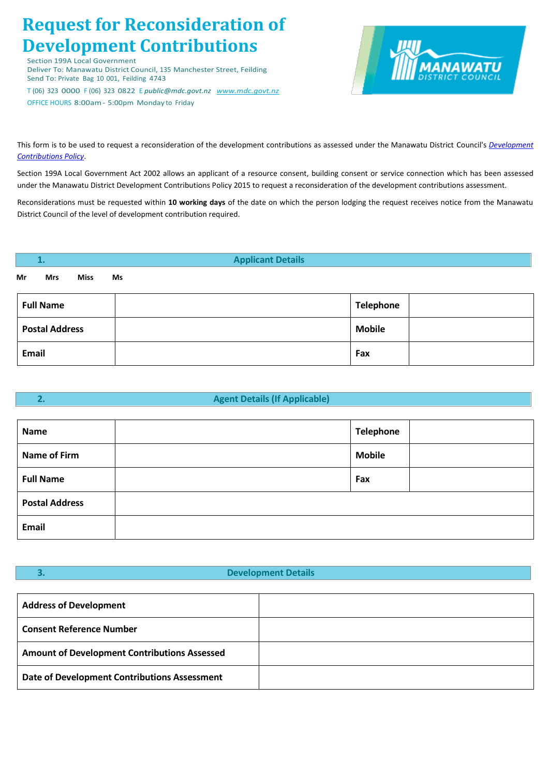# **Request for Reconsideration of Development Contributions**

Section 199A Local Government

Deliver To: Manawatu District Council, 135 Manchester Street, Feilding Send To: Private Bag 10 001, Feilding 4743

T (06) 323 0000 F (06) 323 0822 E *public@mdc.govt.nz [www.mdc.govt.nz](http://www.mdc.govt.nz/)* OFFICE HOURS 8:00am- 5:00pm Monday to Friday



This form is to be used to request a reconsideration of the development contributions as assessed under the Manawatu District Council's *[Development](http://www.mdc.govt.nz/files/7fbd520c-23a7-43d2-acb4-a73f00c029e2/MDC_Development_Contributions_Policy.pdf)  [Contributions Policy](http://resources.ccc.govt.nz/files/TheCouncil/policiesreportsstrategies/ltccp/typ2013/TYPDevelopmentContributionsPolicy.pdf)*.

Section 199A Local Government Act 2002 allows an applicant of a resource consent, building consent or service connection which has been assessed under the Manawatu District Development Contributions Policy 2015 to request a reconsideration of the development contributions assessment.

Reconsiderations must be requested within **10 working days** of the date on which the person lodging the request receives notice from the Manawatu District Council of the level of development contribution required.

| 1.                    | <b>Applicant Details</b> |               |  |
|-----------------------|--------------------------|---------------|--|
| Mr<br>Miss<br>Mrs     | Ms                       |               |  |
| <b>Full Name</b>      |                          | Telephone     |  |
| <b>Postal Address</b> |                          | <b>Mobile</b> |  |
| Email                 |                          | Fax           |  |

# **2. Agent Details (If Applicable)**

| Name                  | Telephone     |  |
|-----------------------|---------------|--|
| <b>Name of Firm</b>   | <b>Mobile</b> |  |
| <b>Full Name</b>      | Fax           |  |
| <b>Postal Address</b> |               |  |
| <b>Email</b>          |               |  |

# **3. Development Details**

| <b>Address of Development</b>                       |  |
|-----------------------------------------------------|--|
| <b>Consent Reference Number</b>                     |  |
| <b>Amount of Development Contributions Assessed</b> |  |
| Date of Development Contributions Assessment        |  |